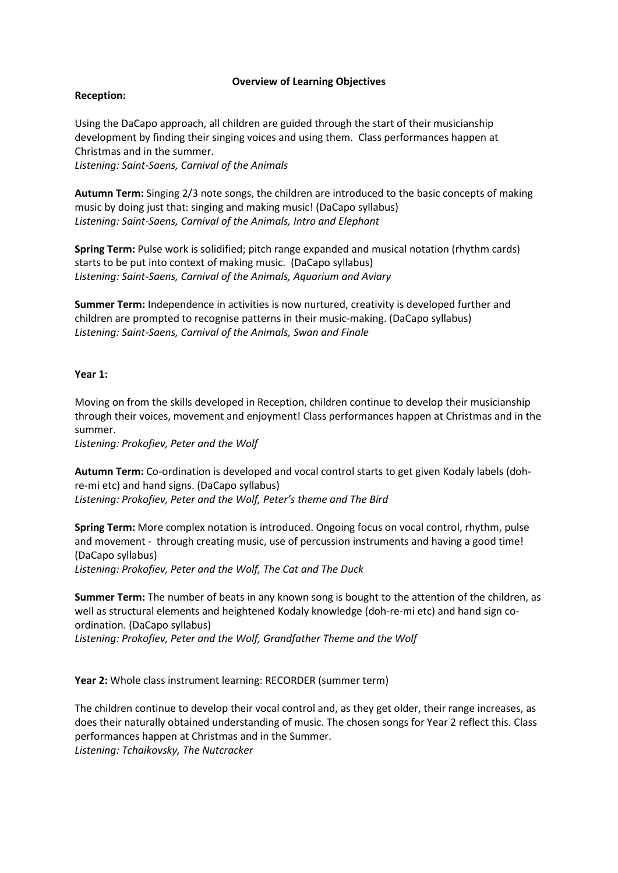## **Overview of Learning Objectives**

# **Reception:**

Using the DaCapo approach, all children are guided through the start of their musicianship development by finding their singing voices and using them. Class performances happen at Christmas and in the summer.

*Listening: Saint-Saens, Carnival of the Animals*

**Autumn Term:** Singing 2/3 note songs, the children are introduced to the basic concepts of making music by doing just that: singing and making music! (DaCapo syllabus) *Listening: Saint-Saens, Carnival of the Animals, Intro and Elephant*

**Spring Term:** Pulse work is solidified; pitch range expanded and musical notation (rhythm cards) starts to be put into context of making music. (DaCapo syllabus) *Listening: Saint-Saens, Carnival of the Animals, Aquarium and Aviary*

**Summer Term:** Independence in activities is now nurtured, creativity is developed further and children are prompted to recognise patterns in their music-making. (DaCapo syllabus) *Listening: Saint-Saens, Carnival of the Animals, Swan and Finale*

# **Year 1:**

Moving on from the skills developed in Reception, children continue to develop their musicianship through their voices, movement and enjoyment! Class performances happen at Christmas and in the summer.

*Listening: Prokofiev, Peter and the Wolf*

**Autumn Term:** Co-ordination is developed and vocal control starts to get given Kodaly labels (dohre-mi etc) and hand signs. (DaCapo syllabus) *Listening: Prokofiev, Peter and the Wolf, Peter's theme and The Bird*

**Spring Term:** More complex notation is introduced. Ongoing focus on vocal control, rhythm, pulse and movement - through creating music, use of percussion instruments and having a good time! (DaCapo syllabus) *Listening: Prokofiev, Peter and the Wolf, The Cat and The Duck*

**Summer Term:** The number of beats in any known song is bought to the attention of the children, as well as structural elements and heightened Kodaly knowledge (doh-re-mi etc) and hand sign coordination. (DaCapo syllabus)

*Listening: Prokofiev, Peter and the Wolf, Grandfather Theme and the Wolf*

**Year 2:** Whole class instrument learning: RECORDER (summer term)

The children continue to develop their vocal control and, as they get older, their range increases, as does their naturally obtained understanding of music. The chosen songs for Year 2 reflect this. Class performances happen at Christmas and in the Summer.

*Listening: Tchaikovsky, The Nutcracker*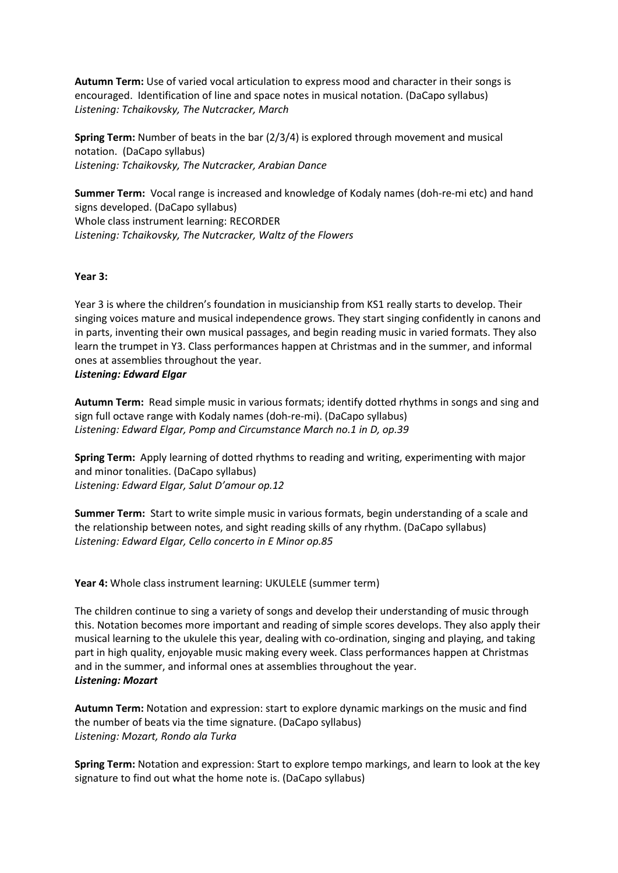**Autumn Term:** Use of varied vocal articulation to express mood and character in their songs is encouraged. Identification of line and space notes in musical notation. (DaCapo syllabus) *Listening: Tchaikovsky, The Nutcracker, March*

**Spring Term:** Number of beats in the bar (2/3/4) is explored through movement and musical notation. (DaCapo syllabus) *Listening: Tchaikovsky, The Nutcracker, Arabian Dance*

**Summer Term:** Vocal range is increased and knowledge of Kodaly names (doh-re-mi etc) and hand signs developed. (DaCapo syllabus) Whole class instrument learning: RECORDER *Listening: Tchaikovsky, The Nutcracker, Waltz of the Flowers*

# **Year 3:**

Year 3 is where the children's foundation in musicianship from KS1 really starts to develop. Their singing voices mature and musical independence grows. They start singing confidently in canons and in parts, inventing their own musical passages, and begin reading music in varied formats. They also learn the trumpet in Y3. Class performances happen at Christmas and in the summer, and informal ones at assemblies throughout the year. *Listening: Edward Elgar*

**Autumn Term:** Read simple music in various formats; identify dotted rhythms in songs and sing and sign full octave range with Kodaly names (doh-re-mi). (DaCapo syllabus) *Listening: Edward Elgar, Pomp and Circumstance March no.1 in D, op.39*

**Spring Term:** Apply learning of dotted rhythms to reading and writing, experimenting with major and minor tonalities. (DaCapo syllabus) *Listening: Edward Elgar, Salut D'amour op.12*

**Summer Term:** Start to write simple music in various formats, begin understanding of a scale and the relationship between notes, and sight reading skills of any rhythm. (DaCapo syllabus) *Listening: Edward Elgar, Cello concerto in E Minor op.85*

**Year 4:** Whole class instrument learning: UKULELE (summer term)

The children continue to sing a variety of songs and develop their understanding of music through this. Notation becomes more important and reading of simple scores develops. They also apply their musical learning to the ukulele this year, dealing with co-ordination, singing and playing, and taking part in high quality, enjoyable music making every week. Class performances happen at Christmas and in the summer, and informal ones at assemblies throughout the year. *Listening: Mozart*

**Autumn Term:** Notation and expression: start to explore dynamic markings on the music and find the number of beats via the time signature. (DaCapo syllabus) *Listening: Mozart, Rondo ala Turka*

**Spring Term:** Notation and expression: Start to explore tempo markings, and learn to look at the key signature to find out what the home note is. (DaCapo syllabus)